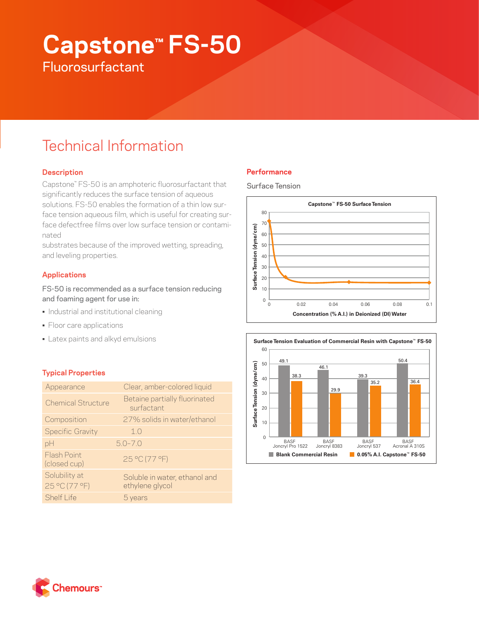# **Capstone™ FS-50 Fluorosurfactant**

# Technical Information

# **Description**

Capstone™ FS-50 is an amphoteric fluorosurfactant that significantly reduces the surface tension of aqueous solutions. FS-50 enables the formation of a thin low surface tension aqueous film, which is useful for creating surface defectfree films over low surface tension or contaminated

substrates because of the improved wetting, spreading, and leveling properties.

# **Applications**

FS-50 is recommended as a surface tension reducing and foaming agent for use in:

- Industrial and institutional cleaning
- Floor care applications
- Latex paints and alkyd emulsions

# **Typical Properties**

| Appearance                     | Clear, amber-colored liquid                      |
|--------------------------------|--------------------------------------------------|
| <b>Chemical Structure</b>      | Betaine partially fluorinated<br>surfactant      |
| Composition                    | 27% solids in water/ethanol                      |
| <b>Specific Gravity</b>        | 10                                               |
| pH                             | $5.0 - 7.0$                                      |
| Flash Point<br>(closed cup)    | 25 °C (77 °F)                                    |
| Solubility at<br>25 °C (77 °F) | Soluble in water, ethanol and<br>ethylene glycol |
| <b>Shelf Life</b>              | 5 years                                          |

# **Performance**

Surface Tension